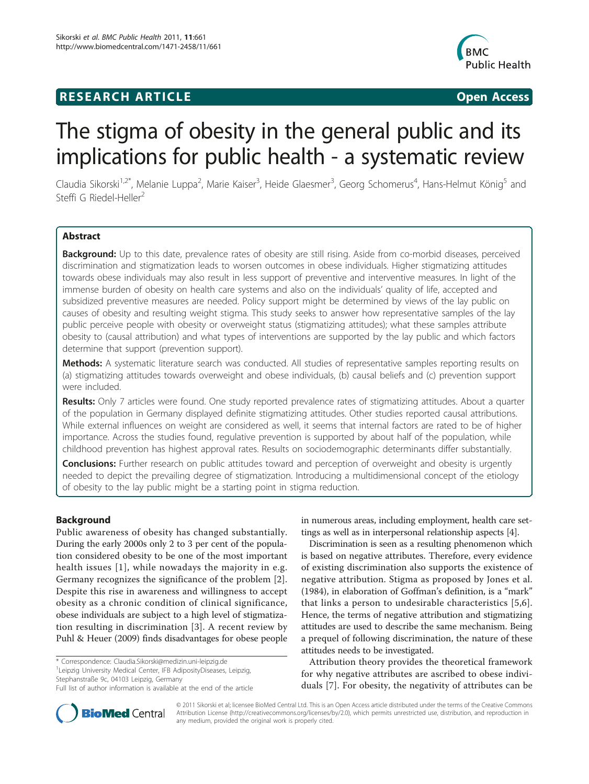## **RESEARCH ARTICLE Example 2018 12:00 Open Access**



# The stigma of obesity in the general public and its implications for public health - a systematic review

Claudia Sikorski<sup>1,2\*</sup>, Melanie Luppa<sup>2</sup>, Marie Kaiser<sup>3</sup>, Heide Glaesmer<sup>3</sup>, Georg Schomerus<sup>4</sup>, Hans-Helmut König<sup>5</sup> and Steffi G Riedel-Heller<sup>2</sup>

## Abstract

Background: Up to this date, prevalence rates of obesity are still rising. Aside from co-morbid diseases, perceived discrimination and stigmatization leads to worsen outcomes in obese individuals. Higher stigmatizing attitudes towards obese individuals may also result in less support of preventive and interventive measures. In light of the immense burden of obesity on health care systems and also on the individuals' quality of life, accepted and subsidized preventive measures are needed. Policy support might be determined by views of the lay public on causes of obesity and resulting weight stigma. This study seeks to answer how representative samples of the lay public perceive people with obesity or overweight status (stigmatizing attitudes); what these samples attribute obesity to (causal attribution) and what types of interventions are supported by the lay public and which factors determine that support (prevention support).

Methods: A systematic literature search was conducted. All studies of representative samples reporting results on (a) stigmatizing attitudes towards overweight and obese individuals, (b) causal beliefs and (c) prevention support were included.

Results: Only 7 articles were found. One study reported prevalence rates of stigmatizing attitudes. About a quarter of the population in Germany displayed definite stigmatizing attitudes. Other studies reported causal attributions. While external influences on weight are considered as well, it seems that internal factors are rated to be of higher importance. Across the studies found, regulative prevention is supported by about half of the population, while childhood prevention has highest approval rates. Results on sociodemographic determinants differ substantially.

**Conclusions:** Further research on public attitudes toward and perception of overweight and obesity is urgently needed to depict the prevailing degree of stigmatization. Introducing a multidimensional concept of the etiology of obesity to the lay public might be a starting point in stigma reduction.

## Background

Public awareness of obesity has changed substantially. During the early 2000s only 2 to 3 per cent of the population considered obesity to be one of the most important health issues [[1](#page-6-0)], while nowadays the majority in e.g. Germany recognizes the significance of the problem [\[2](#page-6-0)]. Despite this rise in awareness and willingness to accept obesity as a chronic condition of clinical significance, obese individuals are subject to a high level of stigmatization resulting in discrimination [[3\]](#page-6-0). A recent review by Puhl & Heuer (2009) finds disadvantages for obese people

\* Correspondence: [Claudia.Sikorski@medizin.uni-leipzig.de](mailto:Claudia.Sikorski@medizin.uni-leipzig.de)

<sup>1</sup>Leipzig University Medical Center, IFB AdiposityDiseases, Leipzig, Stephanstraße 9c, 04103 Leipzig, Germany



Discrimination is seen as a resulting phenomenon which is based on negative attributes. Therefore, every evidence of existing discrimination also supports the existence of negative attribution. Stigma as proposed by Jones et al. (1984), in elaboration of Goffman's definition, is a "mark" that links a person to undesirable characteristics [\[5,](#page-6-0)[6](#page-7-0)]. Hence, the terms of negative attribution and stigmatizing attitudes are used to describe the same mechanism. Being a prequel of following discrimination, the nature of these attitudes needs to be investigated.

Attribution theory provides the theoretical framework for why negative attributes are ascribed to obese individuals [[7\]](#page-7-0). For obesity, the negativity of attributes can be



© 2011 Sikorski et al; licensee BioMed Central Ltd. This is an Open Access article distributed under the terms of the Creative Commons Attribution License [\(http://creativecommons.org/licenses/by/2.0](http://creativecommons.org/licenses/by/2.0)), which permits unrestricted use, distribution, and reproduction in any medium, provided the original work is properly cited.

Full list of author information is available at the end of the article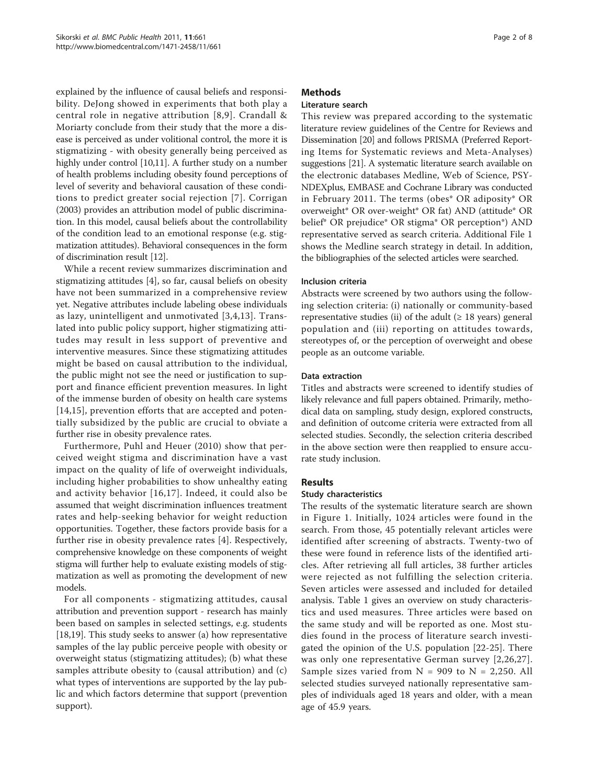explained by the influence of causal beliefs and responsibility. DeJong showed in experiments that both play a central role in negative attribution [[8](#page-7-0),[9](#page-7-0)]. Crandall & Moriarty conclude from their study that the more a disease is perceived as under volitional control, the more it is stigmatizing - with obesity generally being perceived as highly under control [[10,11](#page-7-0)]. A further study on a number of health problems including obesity found perceptions of level of severity and behavioral causation of these conditions to predict greater social rejection [[7](#page-7-0)]. Corrigan (2003) provides an attribution model of public discrimination. In this model, causal beliefs about the controllability of the condition lead to an emotional response (e.g. stigmatization attitudes). Behavioral consequences in the form of discrimination result [\[12\]](#page-7-0).

While a recent review summarizes discrimination and stigmatizing attitudes [[4\]](#page-6-0), so far, causal beliefs on obesity have not been summarized in a comprehensive review yet. Negative attributes include labeling obese individuals as lazy, unintelligent and unmotivated [[3,4](#page-6-0),[13](#page-7-0)]. Translated into public policy support, higher stigmatizing attitudes may result in less support of preventive and interventive measures. Since these stigmatizing attitudes might be based on causal attribution to the individual, the public might not see the need or justification to support and finance efficient prevention measures. In light of the immense burden of obesity on health care systems [[14,15\]](#page-7-0), prevention efforts that are accepted and potentially subsidized by the public are crucial to obviate a further rise in obesity prevalence rates.

Furthermore, Puhl and Heuer (2010) show that perceived weight stigma and discrimination have a vast impact on the quality of life of overweight individuals, including higher probabilities to show unhealthy eating and activity behavior [[16,17\]](#page-7-0). Indeed, it could also be assumed that weight discrimination influences treatment rates and help-seeking behavior for weight reduction opportunities. Together, these factors provide basis for a further rise in obesity prevalence rates [[4\]](#page-6-0). Respectively, comprehensive knowledge on these components of weight stigma will further help to evaluate existing models of stigmatization as well as promoting the development of new models.

For all components - stigmatizing attitudes, causal attribution and prevention support - research has mainly been based on samples in selected settings, e.g. students [[18,19\]](#page-7-0). This study seeks to answer (a) how representative samples of the lay public perceive people with obesity or overweight status (stigmatizing attitudes); (b) what these samples attribute obesity to (causal attribution) and (c) what types of interventions are supported by the lay public and which factors determine that support (prevention support).

## Methods

## Literature search

This review was prepared according to the systematic literature review guidelines of the Centre for Reviews and Dissemination [[20](#page-7-0)] and follows PRISMA (Preferred Reporting Items for Systematic reviews and Meta-Analyses) suggestions [\[21\]](#page-7-0). A systematic literature search available on the electronic databases Medline, Web of Science, PSY-NDEXplus, EMBASE and Cochrane Library was conducted in February 2011. The terms (obes\* OR adiposity\* OR overweight\* OR over-weight\* OR fat) AND (attitude\* OR belief\* OR prejudice\* OR stigma\* OR perception\*) AND representative served as search criteria. Additional File [1](#page-6-0) shows the Medline search strategy in detail. In addition, the bibliographies of the selected articles were searched.

## Inclusion criteria

Abstracts were screened by two authors using the following selection criteria: (i) nationally or community-based representative studies (ii) of the adult ( $\geq$  18 years) general population and (iii) reporting on attitudes towards, stereotypes of, or the perception of overweight and obese people as an outcome variable.

## Data extraction

Titles and abstracts were screened to identify studies of likely relevance and full papers obtained. Primarily, methodical data on sampling, study design, explored constructs, and definition of outcome criteria were extracted from all selected studies. Secondly, the selection criteria described in the above section were then reapplied to ensure accurate study inclusion.

## Results

## Study characteristics

The results of the systematic literature search are shown in Figure [1.](#page-2-0) Initially, 1024 articles were found in the search. From those, 45 potentially relevant articles were identified after screening of abstracts. Twenty-two of these were found in reference lists of the identified articles. After retrieving all full articles, 38 further articles were rejected as not fulfilling the selection criteria. Seven articles were assessed and included for detailed analysis. Table [1](#page-3-0) gives an overview on study characteristics and used measures. Three articles were based on the same study and will be reported as one. Most studies found in the process of literature search investigated the opinion of the U.S. population [[22-25](#page-7-0)]. There was only one representative German survey [\[2,](#page-6-0)[26](#page-7-0),[27](#page-7-0)]. Sample sizes varied from  $N = 909$  to  $N = 2,250$ . All selected studies surveyed nationally representative samples of individuals aged 18 years and older, with a mean age of 45.9 years.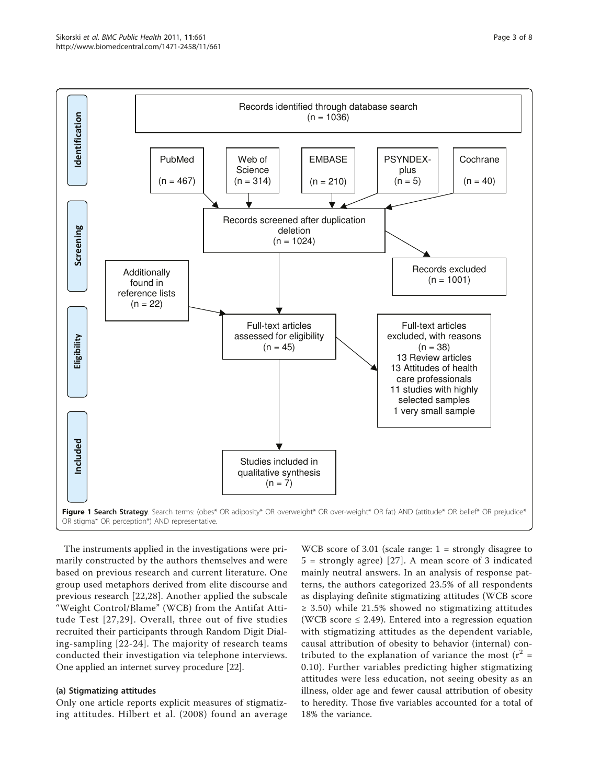<span id="page-2-0"></span>

The instruments applied in the investigations were primarily constructed by the authors themselves and were based on previous research and current literature. One group used metaphors derived from elite discourse and previous research [[22,28](#page-7-0)]. Another applied the subscale "Weight Control/Blame" (WCB) from the Antifat Attitude Test [[27](#page-7-0),[29\]](#page-7-0). Overall, three out of five studies recruited their participants through Random Digit Dialing-sampling [[22-24](#page-7-0)]. The majority of research teams conducted their investigation via telephone interviews. One applied an internet survey procedure [[22\]](#page-7-0).

#### (a) Stigmatizing attitudes

Only one article reports explicit measures of stigmatizing attitudes. Hilbert et al. (2008) found an average

WCB score of 3.01 (scale range:  $1 =$  strongly disagree to 5 = strongly agree) [[27\]](#page-7-0). A mean score of 3 indicated mainly neutral answers. In an analysis of response patterns, the authors categorized 23.5% of all respondents as displaying definite stigmatizing attitudes (WCB score  $\geq$  3.50) while 21.5% showed no stigmatizing attitudes (WCB score  $\leq$  2.49). Entered into a regression equation with stigmatizing attitudes as the dependent variable, causal attribution of obesity to behavior (internal) contributed to the explanation of variance the most  $(r^2 =$ 0.10). Further variables predicting higher stigmatizing attitudes were less education, not seeing obesity as an illness, older age and fewer causal attribution of obesity to heredity. Those five variables accounted for a total of 18% the variance.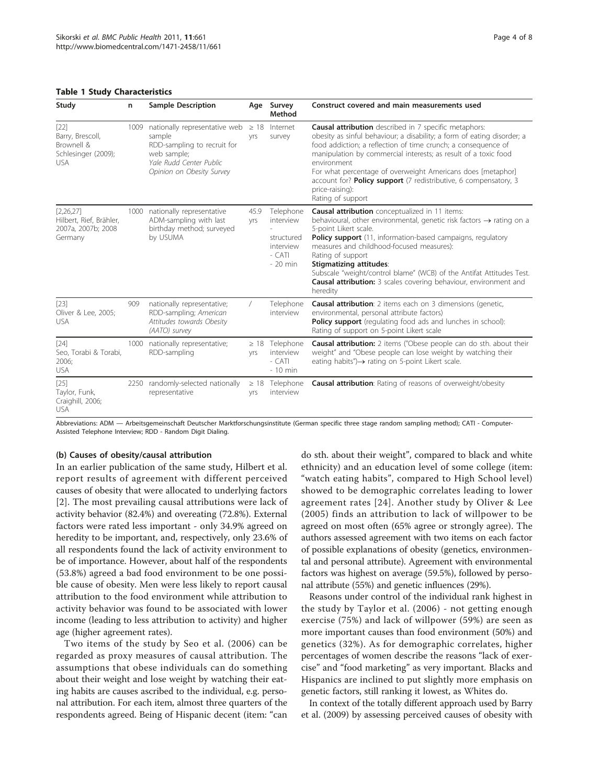#### <span id="page-3-0"></span>Table 1 Study Characteristics

| Study                                                                         | n    | <b>Sample Description</b>                                                                                                                               |                  | Age Survey<br>Method                                                       | Construct covered and main measurements used                                                                                                                                                                                                                                                                                                                                                                                                                                                  |
|-------------------------------------------------------------------------------|------|---------------------------------------------------------------------------------------------------------------------------------------------------------|------------------|----------------------------------------------------------------------------|-----------------------------------------------------------------------------------------------------------------------------------------------------------------------------------------------------------------------------------------------------------------------------------------------------------------------------------------------------------------------------------------------------------------------------------------------------------------------------------------------|
| $[22]$<br>Barry, Brescoll,<br>Brownell &<br>Schlesinger (2009);<br><b>USA</b> | 1009 | nationally representative web $\geq$ 18<br>sample<br>RDD-sampling to recruit for<br>web sample;<br>Yale Rudd Center Public<br>Opinion on Obesity Survey | yrs              | Internet<br>survey                                                         | <b>Causal attribution</b> described in 7 specific metaphors:<br>obesity as sinful behaviour; a disability; a form of eating disorder; a<br>food addiction; a reflection of time crunch; a consequence of<br>manipulation by commercial interests; as result of a toxic food<br>environment<br>For what percentage of overweight Americans does [metaphor]<br>account for? Policy support (7 redistributive, 6 compensatory, 3<br>price-raising):<br>Rating of support                         |
| [2,26,27]<br>Hilbert, Rief, Brähler,<br>2007a, 2007b; 2008<br>Germany         | 1000 | nationally representative<br>ADM-sampling with last<br>birthday method; surveyed<br>by USUMA                                                            | 45.9<br>yrs      | Telephone<br>interview<br>structured<br>interview<br>$-$ CATI<br>$-20$ min | <b>Causal attribution</b> conceptualized in 11 items:<br>behavioural, other environmental, genetic risk factors $\rightarrow$ rating on a<br>5-point Likert scale.<br>Policy support (11, information-based campaigns, regulatory<br>measures and childhood-focused measures):<br>Rating of support<br>Stigmatizing attitudes:<br>Subscale "weight/control blame" (WCB) of the Antifat Attitudes Test.<br><b>Causal attribution:</b> 3 scales covering behaviour, environment and<br>heredity |
| $[23]$<br>Oliver & Lee, 2005;<br><b>USA</b>                                   | 909  | nationally representative;<br>RDD-sampling; American<br>Attitudes towards Obesity<br>(AATO) survey                                                      |                  | Telephone<br>interview                                                     | <b>Causal attribution:</b> 2 items each on 3 dimensions (genetic,<br>environmental, personal attribute factors)<br>Policy support (regulating food ads and lunches in school):<br>Rating of support on 5-point Likert scale                                                                                                                                                                                                                                                                   |
| $[24]$<br>Seo, Torabi & Torabi,<br>2006;<br><b>USA</b>                        | 1000 | nationally representative;<br>RDD-sampling                                                                                                              | $\geq 18$<br>yrs | Telephone<br>interview<br>$-$ CATI<br>$-10$ min                            | <b>Causal attribution:</b> 2 items ("Obese people can do sth. about their<br>weight" and "Obese people can lose weight by watching their<br>eating habits")→ rating on 5-point Likert scale.                                                                                                                                                                                                                                                                                                  |
| $[25]$<br>Taylor, Funk,<br>Craighill, 2006;<br><b>USA</b>                     | 2250 | randomly-selected nationally<br>representative                                                                                                          | yrs              | $\geq$ 18 Telephone<br>interview                                           | <b>Causal attribution:</b> Rating of reasons of overweight/obesity                                                                                                                                                                                                                                                                                                                                                                                                                            |

Abbreviations: ADM — Arbeitsgemeinschaft Deutscher Marktforschungsinstitute (German specific three stage random sampling method); CATI - Computer-Assisted Telephone Interview; RDD - Random Digit Dialing.

#### (b) Causes of obesity/causal attribution

In an earlier publication of the same study, Hilbert et al. report results of agreement with different perceived causes of obesity that were allocated to underlying factors [[2\]](#page-6-0). The most prevailing causal attributions were lack of activity behavior (82.4%) and overeating (72.8%). External factors were rated less important - only 34.9% agreed on heredity to be important, and, respectively, only 23.6% of all respondents found the lack of activity environment to be of importance. However, about half of the respondents (53.8%) agreed a bad food environment to be one possible cause of obesity. Men were less likely to report causal attribution to the food environment while attribution to activity behavior was found to be associated with lower income (leading to less attribution to activity) and higher age (higher agreement rates).

Two items of the study by Seo et al. (2006) can be regarded as proxy measures of causal attribution. The assumptions that obese individuals can do something about their weight and lose weight by watching their eating habits are causes ascribed to the individual, e.g. personal attribution. For each item, almost three quarters of the respondents agreed. Being of Hispanic decent (item: "can do sth. about their weight", compared to black and white ethnicity) and an education level of some college (item: "watch eating habits", compared to High School level) showed to be demographic correlates leading to lower agreement rates [[24\]](#page-7-0). Another study by Oliver & Lee (2005) finds an attribution to lack of willpower to be agreed on most often (65% agree or strongly agree). The authors assessed agreement with two items on each factor of possible explanations of obesity (genetics, environmental and personal attribute). Agreement with environmental factors was highest on average (59.5%), followed by personal attribute (55%) and genetic influences (29%).

Reasons under control of the individual rank highest in the study by Taylor et al. (2006) - not getting enough exercise (75%) and lack of willpower (59%) are seen as more important causes than food environment (50%) and genetics (32%). As for demographic correlates, higher percentages of women describe the reasons "lack of exercise" and "food marketing" as very important. Blacks and Hispanics are inclined to put slightly more emphasis on genetic factors, still ranking it lowest, as Whites do.

In context of the totally different approach used by Barry et al. (2009) by assessing perceived causes of obesity with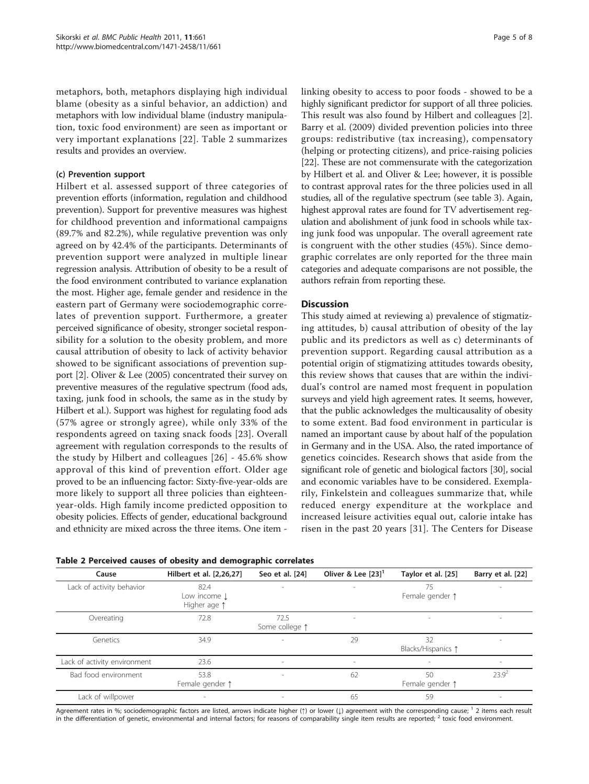metaphors, both, metaphors displaying high individual blame (obesity as a sinful behavior, an addiction) and metaphors with low individual blame (industry manipulation, toxic food environment) are seen as important or very important explanations [[22](#page-7-0)]. Table 2 summarizes results and provides an overview.

#### (c) Prevention support

Hilbert et al. assessed support of three categories of prevention efforts (information, regulation and childhood prevention). Support for preventive measures was highest for childhood prevention and informational campaigns (89.7% and 82.2%), while regulative prevention was only agreed on by 42.4% of the participants. Determinants of prevention support were analyzed in multiple linear regression analysis. Attribution of obesity to be a result of the food environment contributed to variance explanation the most. Higher age, female gender and residence in the eastern part of Germany were sociodemographic correlates of prevention support. Furthermore, a greater perceived significance of obesity, stronger societal responsibility for a solution to the obesity problem, and more causal attribution of obesity to lack of activity behavior showed to be significant associations of prevention support [\[2](#page-6-0)]. Oliver & Lee (2005) concentrated their survey on preventive measures of the regulative spectrum (food ads, taxing, junk food in schools, the same as in the study by Hilbert et al.). Support was highest for regulating food ads (57% agree or strongly agree), while only 33% of the respondents agreed on taxing snack foods [[23](#page-7-0)]. Overall agreement with regulation corresponds to the results of the study by Hilbert and colleagues [[26](#page-7-0)] - 45.6% show approval of this kind of prevention effort. Older age proved to be an influencing factor: Sixty-five-year-olds are more likely to support all three policies than eighteenyear-olds. High family income predicted opposition to obesity policies. Effects of gender, educational background and ethnicity are mixed across the three items. One item -

linking obesity to access to poor foods - showed to be a highly significant predictor for support of all three policies. This result was also found by Hilbert and colleagues [\[2](#page-6-0)]. Barry et al. (2009) divided prevention policies into three groups: redistributive (tax increasing), compensatory (helping or protecting citizens), and price-raising policies [[22](#page-7-0)]. These are not commensurate with the categorization by Hilbert et al. and Oliver & Lee; however, it is possible to contrast approval rates for the three policies used in all studies, all of the regulative spectrum (see table [3\)](#page-5-0). Again, highest approval rates are found for TV advertisement regulation and abolishment of junk food in schools while taxing junk food was unpopular. The overall agreement rate is congruent with the other studies (45%). Since demographic correlates are only reported for the three main categories and adequate comparisons are not possible, the authors refrain from reporting these.

## **Discussion**

This study aimed at reviewing a) prevalence of stigmatizing attitudes, b) causal attribution of obesity of the lay public and its predictors as well as c) determinants of prevention support. Regarding causal attribution as a potential origin of stigmatizing attitudes towards obesity, this review shows that causes that are within the individual's control are named most frequent in population surveys and yield high agreement rates. It seems, however, that the public acknowledges the multicausality of obesity to some extent. Bad food environment in particular is named an important cause by about half of the population in Germany and in the USA. Also, the rated importance of genetics coincides. Research shows that aside from the significant role of genetic and biological factors [[30](#page-7-0)], social and economic variables have to be considered. Exemplarily, Finkelstein and colleagues summarize that, while reduced energy expenditure at the workplace and increased leisure activities equal out, calorie intake has risen in the past 20 years [[31\]](#page-7-0). The Centers for Disease

|  |  |  |  |  |  | Table 2 Perceived causes of obesity and demographic correlates |  |
|--|--|--|--|--|--|----------------------------------------------------------------|--|
|--|--|--|--|--|--|----------------------------------------------------------------|--|

| Cause                        | Hilbert et al. [2,26,27]             | Seo et al. [24]          | Oliver & Lee [23]        | Taylor et al. [25]       | Barry et al. [22]        |
|------------------------------|--------------------------------------|--------------------------|--------------------------|--------------------------|--------------------------|
| Lack of activity behavior    | 82.4<br>Low income J<br>Higher age 1 | $\sim$                   | $\overline{\phantom{a}}$ | 75<br>Female gender 1    |                          |
| Overeating                   | 72.8                                 | 72.5<br>Some college 1   | $\sim$                   | $\sim$                   |                          |
| Genetics                     | 34.9                                 | $\sim$                   | 29                       | 32<br>Blacks/Hispanics 1 | $\sim$                   |
| Lack of activity environment | 23.6                                 | $\overline{\phantom{a}}$ | $\overline{\phantom{a}}$ | $\overline{\phantom{a}}$ | $\overline{\phantom{a}}$ |
| Bad food environment         | 53.8<br>Female gender 1              | $\overline{a}$           | 62                       | 50<br>Female gender 1    | $23.9^2$                 |
| Lack of willpower            | $\overline{a}$                       | $\overline{\phantom{a}}$ | 65                       | 59                       | $\overline{\phantom{a}}$ |

Agreement rates in %; sociodemographic factors are listed, arrows indicate higher (†) or lower (↓) agreement with the corresponding cause; <sup>1</sup> 2 items each result in the differentiation of genetic, environmental and internal factors; for reasons of comparability single item results are reported;  $2$  toxic food environment.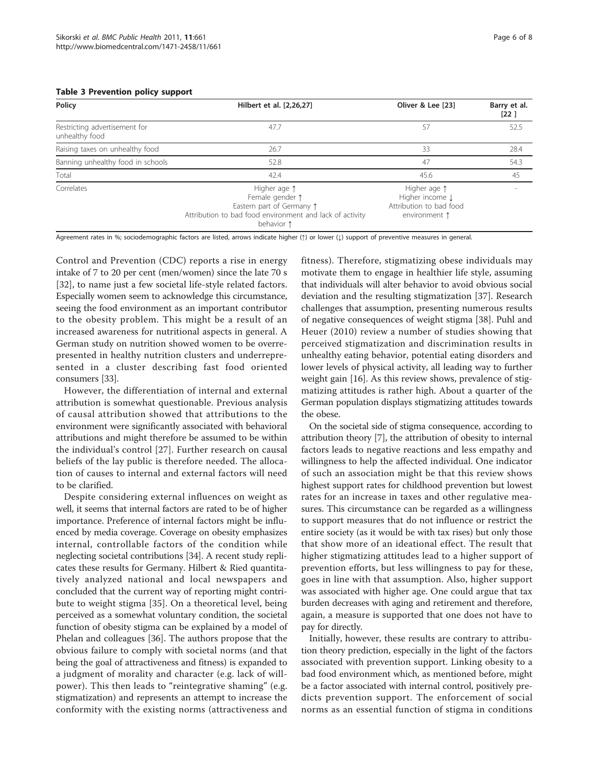<span id="page-5-0"></span>

| Policy                                          | Hilbert et al. [2,26,27]                                                                                                               | Oliver & Lee [23]                                                           | Barry et al.<br>[22] |
|-------------------------------------------------|----------------------------------------------------------------------------------------------------------------------------------------|-----------------------------------------------------------------------------|----------------------|
| Restricting advertisement for<br>unhealthy food | 47.7                                                                                                                                   | 57                                                                          | 52.5                 |
| Raising taxes on unhealthy food                 | 26.7                                                                                                                                   | 33                                                                          | 28.4                 |
| Banning unhealthy food in schools               | 52.8                                                                                                                                   | 47                                                                          | 54.3                 |
| Total                                           | 42.4                                                                                                                                   | 45.6                                                                        | 45                   |
| Correlates                                      | Higher age 1<br>Female gender 1<br>Eastern part of Germany 1<br>Attribution to bad food environment and lack of activity<br>behavior 1 | Higher age 1<br>Higher income J<br>Attribution to bad food<br>environment 1 |                      |

Agreement rates in %; sociodemographic factors are listed, arrows indicate higher (1) or lower (1) support of preventive measures in general.

Control and Prevention (CDC) reports a rise in energy intake of 7 to 20 per cent (men/women) since the late 70 s [[32\]](#page-7-0), to name just a few societal life-style related factors. Especially women seem to acknowledge this circumstance, seeing the food environment as an important contributor to the obesity problem. This might be a result of an increased awareness for nutritional aspects in general. A German study on nutrition showed women to be overrepresented in healthy nutrition clusters and underrepresented in a cluster describing fast food oriented consumers [\[33\]](#page-7-0).

However, the differentiation of internal and external attribution is somewhat questionable. Previous analysis of causal attribution showed that attributions to the environment were significantly associated with behavioral attributions and might therefore be assumed to be within the individual's control [[27](#page-7-0)]. Further research on causal beliefs of the lay public is therefore needed. The allocation of causes to internal and external factors will need to be clarified.

Despite considering external influences on weight as well, it seems that internal factors are rated to be of higher importance. Preference of internal factors might be influenced by media coverage. Coverage on obesity emphasizes internal, controllable factors of the condition while neglecting societal contributions [\[34\]](#page-7-0). A recent study replicates these results for Germany. Hilbert & Ried quantitatively analyzed national and local newspapers and concluded that the current way of reporting might contribute to weight stigma [[35\]](#page-7-0). On a theoretical level, being perceived as a somewhat voluntary condition, the societal function of obesity stigma can be explained by a model of Phelan and colleagues [[36](#page-7-0)]. The authors propose that the obvious failure to comply with societal norms (and that being the goal of attractiveness and fitness) is expanded to a judgment of morality and character (e.g. lack of willpower). This then leads to "reintegrative shaming" (e.g. stigmatization) and represents an attempt to increase the conformity with the existing norms (attractiveness and fitness). Therefore, stigmatizing obese individuals may motivate them to engage in healthier life style, assuming that individuals will alter behavior to avoid obvious social deviation and the resulting stigmatization [\[37](#page-7-0)]. Research challenges that assumption, presenting numerous results of negative consequences of weight stigma [\[38\]](#page-7-0). Puhl and Heuer (2010) review a number of studies showing that perceived stigmatization and discrimination results in unhealthy eating behavior, potential eating disorders and lower levels of physical activity, all leading way to further weight gain [\[16\]](#page-7-0). As this review shows, prevalence of stigmatizing attitudes is rather high. About a quarter of the German population displays stigmatizing attitudes towards the obese.

On the societal side of stigma consequence, according to attribution theory [[7](#page-7-0)], the attribution of obesity to internal factors leads to negative reactions and less empathy and willingness to help the affected individual. One indicator of such an association might be that this review shows highest support rates for childhood prevention but lowest rates for an increase in taxes and other regulative measures. This circumstance can be regarded as a willingness to support measures that do not influence or restrict the entire society (as it would be with tax rises) but only those that show more of an ideational effect. The result that higher stigmatizing attitudes lead to a higher support of prevention efforts, but less willingness to pay for these, goes in line with that assumption. Also, higher support was associated with higher age. One could argue that tax burden decreases with aging and retirement and therefore, again, a measure is supported that one does not have to pay for directly.

Initially, however, these results are contrary to attribution theory prediction, especially in the light of the factors associated with prevention support. Linking obesity to a bad food environment which, as mentioned before, might be a factor associated with internal control, positively predicts prevention support. The enforcement of social norms as an essential function of stigma in conditions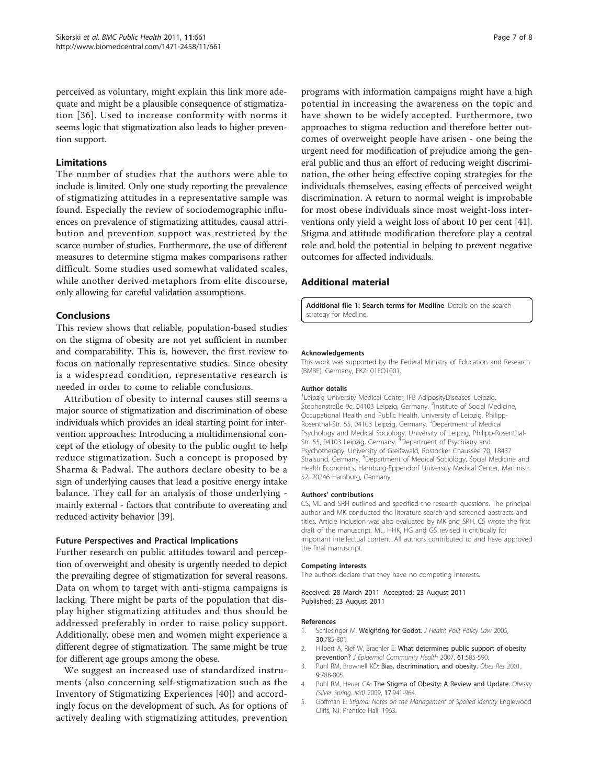<span id="page-6-0"></span>perceived as voluntary, might explain this link more adequate and might be a plausible consequence of stigmatization [[36\]](#page-7-0). Used to increase conformity with norms it seems logic that stigmatization also leads to higher prevention support.

## Limitations

The number of studies that the authors were able to include is limited. Only one study reporting the prevalence of stigmatizing attitudes in a representative sample was found. Especially the review of sociodemographic influences on prevalence of stigmatizing attitudes, causal attribution and prevention support was restricted by the scarce number of studies. Furthermore, the use of different measures to determine stigma makes comparisons rather difficult. Some studies used somewhat validated scales, while another derived metaphors from elite discourse, only allowing for careful validation assumptions.

## Conclusions

This review shows that reliable, population-based studies on the stigma of obesity are not yet sufficient in number and comparability. This is, however, the first review to focus on nationally representative studies. Since obesity is a widespread condition, representative research is needed in order to come to reliable conclusions.

Attribution of obesity to internal causes still seems a major source of stigmatization and discrimination of obese individuals which provides an ideal starting point for intervention approaches: Introducing a multidimensional concept of the etiology of obesity to the public ought to help reduce stigmatization. Such a concept is proposed by Sharma & Padwal. The authors declare obesity to be a sign of underlying causes that lead a positive energy intake balance. They call for an analysis of those underlying mainly external - factors that contribute to overeating and reduced activity behavior [\[39\]](#page-7-0).

## Future Perspectives and Practical Implications

Further research on public attitudes toward and perception of overweight and obesity is urgently needed to depict the prevailing degree of stigmatization for several reasons. Data on whom to target with anti-stigma campaigns is lacking. There might be parts of the population that display higher stigmatizing attitudes and thus should be addressed preferably in order to raise policy support. Additionally, obese men and women might experience a different degree of stigmatization. The same might be true for different age groups among the obese.

We suggest an increased use of standardized instruments (also concerning self-stigmatization such as the Inventory of Stigmatizing Experiences [\[40](#page-7-0)]) and accordingly focus on the development of such. As for options of actively dealing with stigmatizing attitudes, prevention

programs with information campaigns might have a high potential in increasing the awareness on the topic and have shown to be widely accepted. Furthermore, two approaches to stigma reduction and therefore better outcomes of overweight people have arisen - one being the urgent need for modification of prejudice among the general public and thus an effort of reducing weight discrimination, the other being effective coping strategies for the individuals themselves, easing effects of perceived weight discrimination. A return to normal weight is improbable for most obese individuals since most weight-loss interventions only yield a weight loss of about 10 per cent [[41](#page-7-0)]. Stigma and attitude modification therefore play a central role and hold the potential in helping to prevent negative outcomes for affected individuals.

## Additional material

[Additional file 1: S](http://www.biomedcentral.com/content/supplementary/1471-2458-11-661-S1.DOC)earch terms for Medline. Details on the search strategy for Medline.

#### Acknowledgements

This work was supported by the Federal Ministry of Education and Research (BMBF), Germany, FKZ: 01EO1001.

#### Author details

<sup>1</sup>Leipzig University Medical Center, IFB AdiposityDiseases, Leipzig, Stephanstraße 9c, 04103 Leipzig, Germany. <sup>2</sup>Institute of Social Medicine Occupational Health and Public Health, University of Leipzig, Philipp-Rosenthal-Str. 55, 04103 Leipzig, Germany. <sup>3</sup>Department of Medical Psychology and Medical Sociology, University of Leipzig, Philipp-Rosenthal-Str. 55, 04103 Leipzig, Germany. <sup>4</sup>Department of Psychiatry and Psychotherapy, University of Greifswald, Rostocker Chaussee 70, 18437 Stralsund, Germany. <sup>5</sup>Department of Medical Sociology, Social Medicine and Health Economics, Hamburg-Eppendorf University Medical Center, Martinistr. 52, 20246 Hamburg, Germany.

#### Authors' contributions

CS, ML and SRH outlined and specified the research questions. The principal author and MK conducted the literature search and screened abstracts and titles. Article inclusion was also evaluated by MK and SRH. CS wrote the first draft of the manuscript. ML, HHK, HG and GS revised it crititically for important intellectual content. All authors contributed to and have approved the final manuscript.

#### Competing interests

The authors declare that they have no competing interests.

Received: 28 March 2011 Accepted: 23 August 2011 Published: 23 August 2011

#### References

- 1. Schlesinger M: [Weighting for Godot.](http://www.ncbi.nlm.nih.gov/pubmed/16477788?dopt=Abstract) J Health Polit Policy Law 2005, 30:785-801.
- 2. Hilbert A, Rief W, Braehler E: [What determines public support of obesity](http://www.ncbi.nlm.nih.gov/pubmed/17568049?dopt=Abstract) [prevention?](http://www.ncbi.nlm.nih.gov/pubmed/17568049?dopt=Abstract) J Epidemiol Community Health 2007, 61:585-590.
- 3. Puhl RM, Brownell KD: [Bias, discrimination, and obesity.](http://www.ncbi.nlm.nih.gov/pubmed/11743063?dopt=Abstract) Obes Res 2001, 9:788-805.
- 4. Puhl RM, Heuer CA: The Stigma of Obesity: A Review and Update. Obesity (Silver Spring, Md) 2009, 17:941-964.
- 5. Goffman E: Stigma: Notes on the Management of Spoiled Identity Englewood Cliffs, NJ: Prentice Hall; 1963.